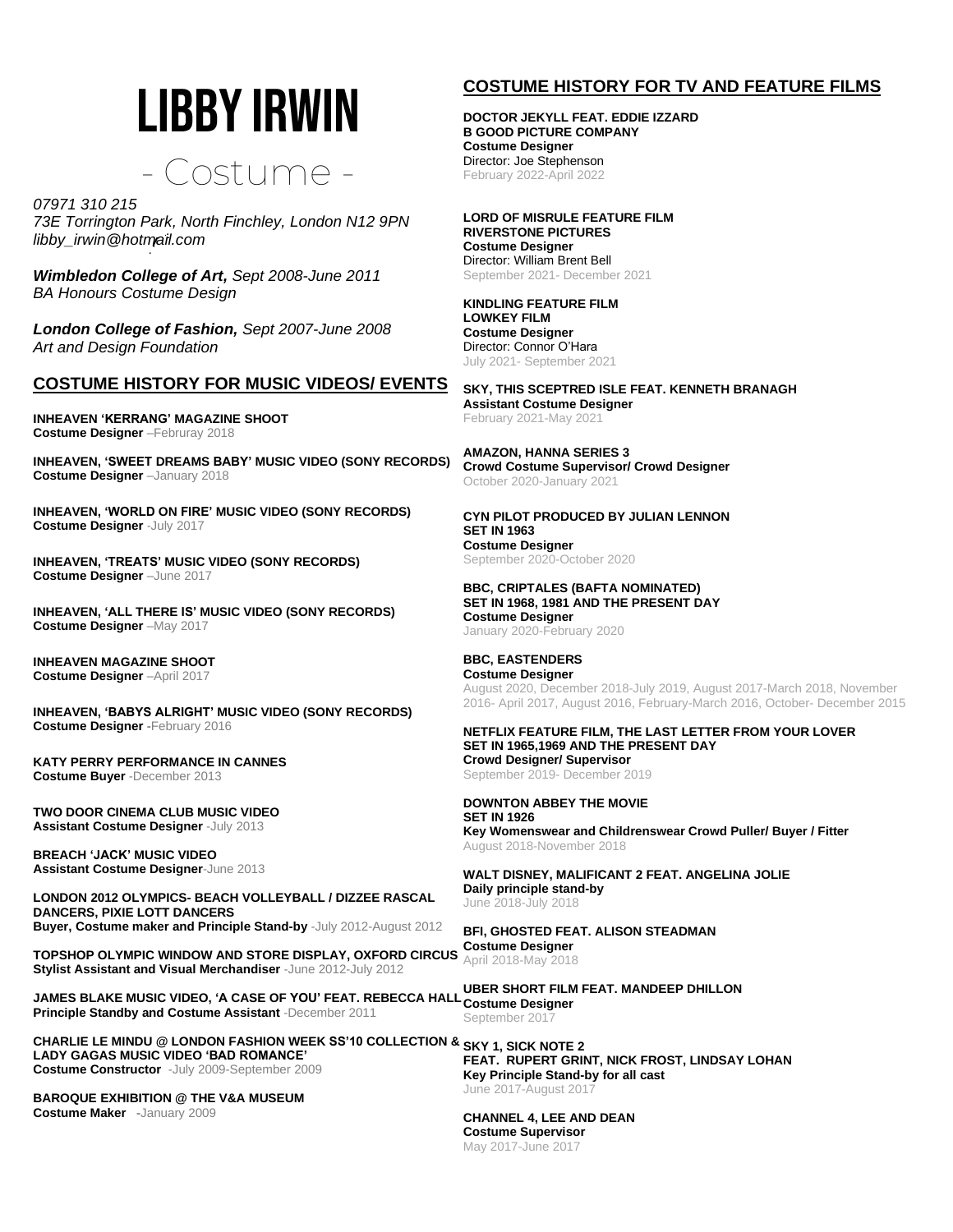# **LIBBY IRWIN**



*07971 310 215 73E Torrington Park, North Finchley, London N12 9PN [libby\\_irwin@hotmail.com](mailto:libby_irwin@hotmail.com)*

*Wimbledon College of Art, Sept 2008-June 2011 BA Honours Costume Design*

*London College of Fashion, Sept 2007-June 2008 Art and Design Foundation*

# **COSTUME HISTORY FOR MUSIC VIDEOS/ EVENTS**

**INHEAVEN 'KERRANG' MAGAZINE SHOOT Costume Designer** –Februray 2018

**INHEAVEN, 'SWEET DREAMS BABY' MUSIC VIDEO (SONY RECORDS) Costume Designer** –January 2018

**INHEAVEN, 'WORLD ON FIRE' MUSIC VIDEO (SONY RECORDS) Costume Designer** -July 2017

**INHEAVEN, 'TREATS' MUSIC VIDEO (SONY RECORDS) Costume Designer** –June 2017

**INHEAVEN, 'ALL THERE IS' MUSIC VIDEO (SONY RECORDS) Costume Designer** –May 2017

**INHEAVEN MAGAZINE SHOOT Costume Designer** –April 2017

**INHEAVEN, 'BABYS ALRIGHT' MUSIC VIDEO (SONY RECORDS) Costume Designer -**February 2016

**KATY PERRY PERFORMANCE IN CANNES Costume Buyer** -December 2013

**TWO DOOR CINEMA CLUB MUSIC VIDEO Assistant Costume Designer** -July 2013

**BREACH 'JACK' MUSIC VIDEO Assistant Costume Designer**-June 2013

**LONDON 2012 OLYMPICS- BEACH VOLLEYBALL / DIZZEE RASCAL DANCERS, PIXIE LOTT DANCERS Buyer, Costume maker and Principle Stand-by** -July 2012-August 2012

**TOPSHOP OLYMPIC WINDOW AND STORE DISPLAY, OXFORD CIRCUS Stylist Assistant and Visual Merchandiser** -June 2012-July 2012

**JAMES BLAKE MUSIC VIDEO, 'A CASE OF YOU' FEAT. REBECCA HALL Principle Standby and Costume Assistant** -December 2011

**CHARLIE LE MINDU @ LONDON FASHION WEEK SS'10 COLLECTION & SKY 1, SICK NOTE 2 LADY GAGAS MUSIC VIDEO 'BAD ROMANCE' Costume Constructor** -July 2009-September 2009

**BAROQUE EXHIBITION @ THE V&A MUSEUM Costume Maker -**January 2009

# **COSTUME HISTORY FOR TV AND FEATURE FILMS**

**DOCTOR JEKYLL FEAT. EDDIE IZZARD B GOOD PICTURE COMPANY Costume Designer** Director: Joe Stephenson February 2022-April 2022

**LORD OF MISRULE FEATURE FILM RIVERSTONE PICTURES Costume Designer** Director: William Brent Bell September 2021- December 2021

**KINDLING FEATURE FILM LOWKEY FILM Costume Designer** Director: Connor O'Hara July 2021- September 2021

**SKY, THIS SCEPTRED ISLE FEAT. KENNETH BRANAGH Assistant Costume Designer** February 2021-May 2021

#### **AMAZON, HANNA SERIES 3**

**Crowd Costume Supervisor/ Crowd Designer** October 2020-January 2021

**CYN PILOT PRODUCED BY JULIAN LENNON SET IN 1963 Costume Designer**

September 2020-October 2020

**BBC, CRIPTALES (BAFTA NOMINATED) SET IN 1968, 1981 AND THE PRESENT DAY Costume Designer**

January 2020-February 2020

### **BBC, EASTENDERS**

**Costume Designer** August 2020, December 2018-July 2019, August 2017-March 2018, November 2016- April 2017, August 2016, February-March 2016, October- December 2015

**NETFLIX FEATURE FILM, THE LAST LETTER FROM YOUR LOVER SET IN 1965,1969 AND THE PRESENT DAY Crowd Designer/ Supervisor** September 2019- December 2019

**DOWNTON ABBEY THE MOVIE SET IN 1926 Key Womenswear and Childrenswear Crowd Puller/ Buyer / Fitter** August 2018-November 2018

**WALT DISNEY, MALIFICANT 2 FEAT. ANGELINA JOLIE Daily principle stand-by** June 2018-July 2018

**BFI, GHOSTED FEAT. ALISON STEADMAN Costume Designer** April 2018-May 2018

**UBER SHORT FILM FEAT. MANDEEP DHILLON Costume Designer** September 201

**FEAT. RUPERT GRINT, NICK FROST, LINDSAY LOHAN Key Principle Stand-by for all cast** June 2017-August 2017

**CHANNEL 4, LEE AND DEAN Costume Supervisor** May 2017-June 2017